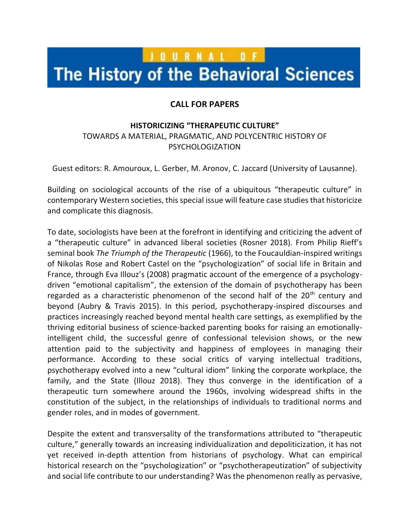## JOURNAL OF

## The History of the Behavioral Sciences

## **CALL FOR PAPERS**

## **HISTORICIZING "THERAPEUTIC CULTURE"**

TOWARDS A MATERIAL, PRAGMATIC, AND POLYCENTRIC HISTORY OF PSYCHOLOGIZATION

Guest editors: R. Amouroux, L. Gerber, M. Aronov, C. Jaccard (University of Lausanne).

Building on sociological accounts of the rise of a ubiquitous "therapeutic culture" in contemporary Western societies, this special issue will feature case studies that historicize and complicate this diagnosis.

To date, sociologists have been at the forefront in identifying and criticizing the advent of a "therapeutic culture" in advanced liberal societies (Rosner 2018). From Philip Rieff's seminal book *The Triumph of the Therapeutic* (1966), to the Foucauldian-inspired writings of Nikolas Rose and Robert Castel on the "psychologization" of social life in Britain and France, through Eva Illouz's (2008) pragmatic account of the emergence of a psychologydriven "emotional capitalism", the extension of the domain of psychotherapy has been regarded as a characteristic phenomenon of the second half of the 20<sup>th</sup> century and beyond (Aubry & Travis 2015). In this period, psychotherapy-inspired discourses and practices increasingly reached beyond mental health care settings, as exemplified by the thriving editorial business of science-backed parenting books for raising an emotionallyintelligent child, the successful genre of confessional television shows, or the new attention paid to the subjectivity and happiness of employees in managing their performance. According to these social critics of varying intellectual traditions, psychotherapy evolved into a new "cultural idiom" linking the corporate workplace, the family, and the State (Illouz 2018). They thus converge in the identification of a therapeutic turn somewhere around the 1960s, involving widespread shifts in the constitution of the subject, in the relationships of individuals to traditional norms and gender roles, and in modes of government.

Despite the extent and transversality of the transformations attributed to "therapeutic culture," generally towards an increasing individualization and depoliticization, it has not yet received in-depth attention from historians of psychology. What can empirical historical research on the "psychologization" or "psychotherapeutization" of subjectivity and social life contribute to our understanding? Was the phenomenon really as pervasive,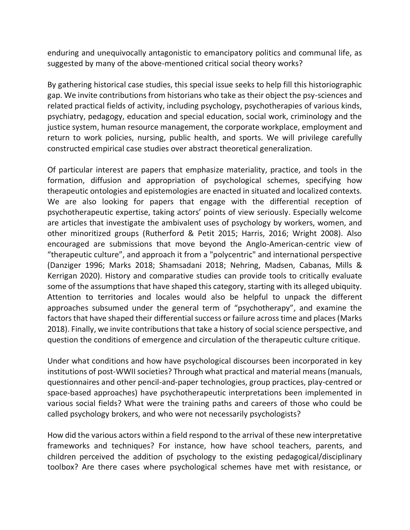enduring and unequivocally antagonistic to emancipatory politics and communal life, as suggested by many of the above-mentioned critical social theory works?

By gathering historical case studies, this special issue seeks to help fill this historiographic gap. We invite contributions from historians who take as their object the psy-sciences and related practical fields of activity, including psychology, psychotherapies of various kinds, psychiatry, pedagogy, education and special education, social work, criminology and the justice system, human resource management, the corporate workplace, employment and return to work policies, nursing, public health, and sports. We will privilege carefully constructed empirical case studies over abstract theoretical generalization.

Of particular interest are papers that emphasize materiality, practice, and tools in the formation, diffusion and appropriation of psychological schemes, specifying how therapeutic ontologies and epistemologies are enacted in situated and localized contexts. We are also looking for papers that engage with the differential reception of psychotherapeutic expertise, taking actors' points of view seriously. Especially welcome are articles that investigate the ambivalent uses of psychology by workers, women, and other minoritized groups (Rutherford & Petit 2015; Harris, 2016; Wright 2008). Also encouraged are submissions that move beyond the Anglo-American-centric view of "therapeutic culture", and approach it from a "polycentric" and international perspective (Danziger 1996; Marks 2018; Shamsadani 2018; Nehring, Madsen, Cabanas, Mills & Kerrigan 2020). History and comparative studies can provide tools to critically evaluate some of the assumptions that have shaped this category, starting with its alleged ubiquity. Attention to territories and locales would also be helpful to unpack the different approaches subsumed under the general term of "psychotherapy", and examine the factors that have shaped their differential success or failure across time and places (Marks 2018). Finally, we invite contributions that take a history of social science perspective, and question the conditions of emergence and circulation of the therapeutic culture critique.

Under what conditions and how have psychological discourses been incorporated in key institutions of post-WWII societies? Through what practical and material means (manuals, questionnaires and other pencil-and-paper technologies, group practices, play-centred or space-based approaches) have psychotherapeutic interpretations been implemented in various social fields? What were the training paths and careers of those who could be called psychology brokers, and who were not necessarily psychologists?

How did the various actors within a field respond to the arrival of these new interpretative frameworks and techniques? For instance, how have school teachers, parents, and children perceived the addition of psychology to the existing pedagogical/disciplinary toolbox? Are there cases where psychological schemes have met with resistance, or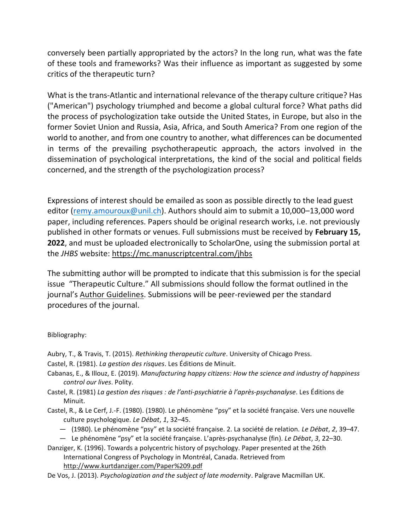conversely been partially appropriated by the actors? In the long run, what was the fate of these tools and frameworks? Was their influence as important as suggested by some critics of the therapeutic turn?

What is the trans-Atlantic and international relevance of the therapy culture critique? Has ("American") psychology triumphed and become a global cultural force? What paths did the process of psychologization take outside the United States, in Europe, but also in the former Soviet Union and Russia, Asia, Africa, and South America? From one region of the world to another, and from one country to another, what differences can be documented in terms of the prevailing psychotherapeutic approach, the actors involved in the dissemination of psychological interpretations, the kind of the social and political fields concerned, and the strength of the psychologization process?

Expressions of interest should be emailed as soon as possible directly to the lead guest editor [\(remy.amouroux@unil.ch\)](mailto:remy.amouroux@unil.ch). Authors should aim to submit a 10,000–13,000 word paper, including references. Papers should be original research works, i.e. not previously published in other formats or venues. Full submissions must be received by **February 15, 2022**, and must be uploaded electronically to ScholarOne, using the submission portal at the *JHBS* website:<https://mc.manuscriptcentral.com/jhbs>

The submitting author will be prompted to indicate that this submission is for the special issue "Therapeutic Culture." All submissions should follow the format outlined in the journal's [Author Guidelines.](https://onlinelibrary.wiley.com/page/journal/15206696/homepage/ForAuthors.html) Submissions will be peer-reviewed per the standard procedures of the journal.

Bibliography:

- Aubry, T., & Travis, T. (2015). *Rethinking therapeutic culture*. University of Chicago Press.
- Castel, R. (1981). *La gestion des risques*. Les Éditions de Minuit.
- Cabanas, E., & Illouz, E. (2019). *Manufacturing happy citizens: How the science and industry of happiness control our lives*. Polity.
- Castel, R. (1981) *La gestion des risques : de l'anti-psychiatrie à l'après-psychanalyse*. Les Éditions de Minuit.
- Castel, R., & Le Cerf, J.-F. (1980). (1980). Le phénomène "psy" et la société française. Vers une nouvelle culture psychologique. *Le Débat*, *1*, 32–45.
	- (1980). Le phénomène "psy" et la société française. 2. La société de relation. *Le Débat*, *2*, 39–47.
	- Le phénomène "psy" et la société française. L'après-psychanalyse (fin). *Le Débat*, *3*, 22–30.
- Danziger, K. (1996). Towards a polycentric history of psychology. Paper presented at the 26th International Congress of Psychology in Montréal, Canada. Retrieved from <http://www.kurtdanziger.com/Paper%209.pdf>
- De Vos, J. (2013). *Psychologization and the subject of late modernity*. Palgrave Macmillan UK.